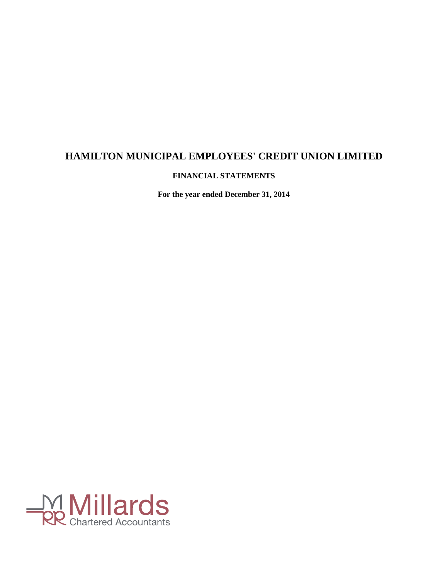**FINANCIAL STATEMENTS**

**For the year ended December 31, 2014**

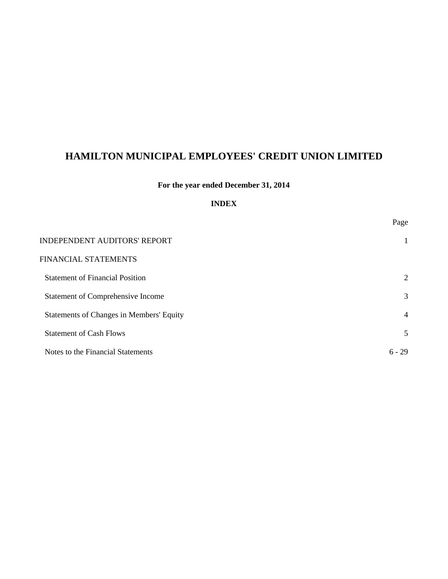## **For the year ended December 31, 2014**

## **INDEX**

|                                          | Page           |
|------------------------------------------|----------------|
| <b>INDEPENDENT AUDITORS' REPORT</b>      |                |
| FINANCIAL STATEMENTS                     |                |
| <b>Statement of Financial Position</b>   | 2              |
| <b>Statement of Comprehensive Income</b> | 3              |
| Statements of Changes in Members' Equity | $\overline{4}$ |
| <b>Statement of Cash Flows</b>           | 5              |
| Notes to the Financial Statements        | $6 - 29$       |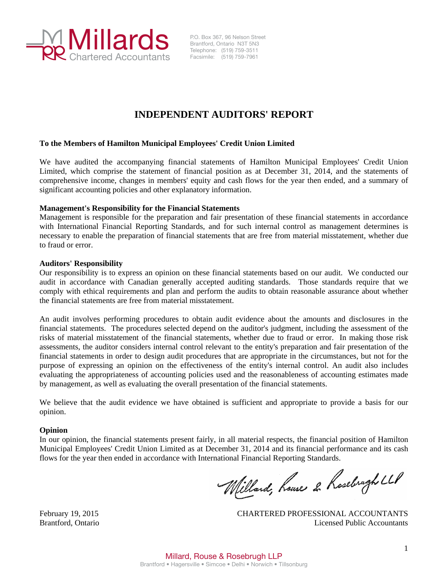

P.O. Box 367, 96 Nelson Street Brantford, Ontario N3T 5N3 Telephone: (519) 759-3511 Facsimile: (519) 759-7961

# **INDEPENDENT AUDITORS' REPORT**

### **To the Members of Hamilton Municipal Employees' Credit Union Limited**

We have audited the accompanying financial statements of Hamilton Municipal Employees' Credit Union Limited, which comprise the statement of financial position as at December 31, 2014, and the statements of comprehensive income, changes in members' equity and cash flows for the year then ended, and a summary of significant accounting policies and other explanatory information.

### **Management's Responsibility for the Financial Statements**

Management is responsible for the preparation and fair presentation of these financial statements in accordance with International Financial Reporting Standards, and for such internal control as management determines is necessary to enable the preparation of financial statements that are free from material misstatement, whether due to fraud or error.

### **Auditors' Responsibility**

Our responsibility is to express an opinion on these financial statements based on our audit. We conducted our audit in accordance with Canadian generally accepted auditing standards. Those standards require that we comply with ethical requirements and plan and perform the audits to obtain reasonable assurance about whether the financial statements are free from material misstatement.

An audit involves performing procedures to obtain audit evidence about the amounts and disclosures in the financial statements. The procedures selected depend on the auditor's judgment, including the assessment of the risks of material misstatement of the financial statements, whether due to fraud or error. In making those risk assessments, the auditor considers internal control relevant to the entity's preparation and fair presentation of the financial statements in order to design audit procedures that are appropriate in the circumstances, but not for the purpose of expressing an opinion on the effectiveness of the entity's internal control. An audit also includes evaluating the appropriateness of accounting policies used and the reasonableness of accounting estimates made by management, as well as evaluating the overall presentation of the financial statements.

We believe that the audit evidence we have obtained is sufficient and appropriate to provide a basis for our opinion.

### **Opinion**

In our opinion, the financial statements present fairly, in all material respects, the financial position of Hamilton Municipal Employees' Credit Union Limited as at December 31, 2014 and its financial performance and its cash flows for the year then ended in accordance with International Financial Reporting Standards.

Willard, house 2 hosebragh LLP

February 19, 2015 CHARTERED PROFESSIONAL ACCOUNTANTS Brantford, Ontario Licensed Public Accountants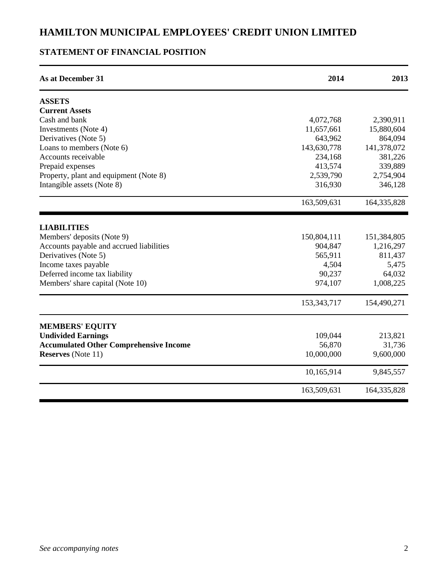## **STATEMENT OF FINANCIAL POSITION**

| As at December 31                             | 2014        | 2013          |
|-----------------------------------------------|-------------|---------------|
| <b>ASSETS</b>                                 |             |               |
| <b>Current Assets</b>                         |             |               |
| Cash and bank                                 | 4,072,768   | 2,390,911     |
| Investments (Note 4)                          | 11,657,661  | 15,880,604    |
| Derivatives (Note 5)                          | 643,962     | 864,094       |
| Loans to members (Note 6)                     | 143,630,778 | 141,378,072   |
| Accounts receivable                           | 234,168     | 381,226       |
| Prepaid expenses                              | 413,574     | 339,889       |
| Property, plant and equipment (Note 8)        | 2,539,790   | 2,754,904     |
| Intangible assets (Note 8)                    | 316,930     | 346,128       |
|                                               | 163,509,631 | 164, 335, 828 |
| <b>LIABILITIES</b>                            |             |               |
| Members' deposits (Note 9)                    | 150,804,111 | 151,384,805   |
| Accounts payable and accrued liabilities      | 904,847     | 1,216,297     |
| Derivatives (Note 5)                          | 565,911     | 811,437       |
| Income taxes payable                          | 4,504       | 5,475         |
| Deferred income tax liability                 | 90,237      | 64,032        |
| Members' share capital (Note 10)              | 974,107     | 1,008,225     |
|                                               | 153,343,717 | 154,490,271   |
| <b>MEMBERS' EQUITY</b>                        |             |               |
| <b>Undivided Earnings</b>                     | 109,044     | 213,821       |
| <b>Accumulated Other Comprehensive Income</b> | 56,870      | 31,736        |
| <b>Reserves</b> (Note 11)                     | 10,000,000  | 9,600,000     |
|                                               |             |               |
|                                               | 10,165,914  | 9,845,557     |
|                                               | 163,509,631 | 164, 335, 828 |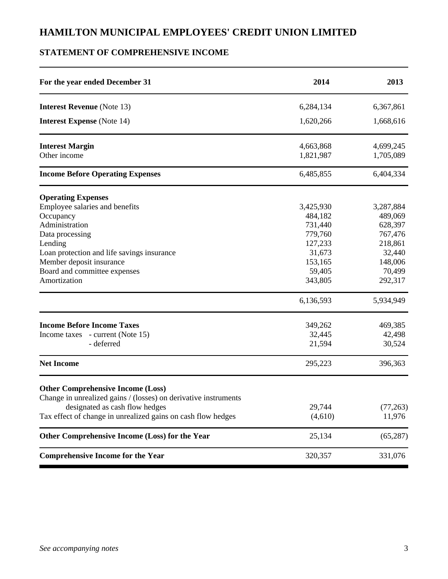# **STATEMENT OF COMPREHENSIVE INCOME**

| For the year ended December 31                                  | 2014      | 2013      |
|-----------------------------------------------------------------|-----------|-----------|
| <b>Interest Revenue</b> (Note 13)                               | 6,284,134 | 6,367,861 |
| <b>Interest Expense</b> (Note 14)                               | 1,620,266 | 1,668,616 |
| <b>Interest Margin</b>                                          | 4,663,868 | 4,699,245 |
| Other income                                                    | 1,821,987 | 1,705,089 |
| <b>Income Before Operating Expenses</b>                         | 6,485,855 | 6,404,334 |
| <b>Operating Expenses</b>                                       |           |           |
| Employee salaries and benefits                                  | 3,425,930 | 3,287,884 |
| Occupancy                                                       | 484,182   | 489,069   |
| Administration                                                  | 731,440   | 628,397   |
| Data processing                                                 | 779,760   | 767,476   |
| Lending                                                         | 127,233   | 218,861   |
| Loan protection and life savings insurance                      | 31,673    | 32,440    |
| Member deposit insurance                                        | 153,165   | 148,006   |
| Board and committee expenses                                    | 59,405    | 70,499    |
| Amortization                                                    | 343,805   | 292,317   |
|                                                                 | 6,136,593 | 5,934,949 |
| <b>Income Before Income Taxes</b>                               | 349,262   | 469,385   |
| Income taxes - current (Note 15)                                | 32,445    | 42,498    |
| - deferred                                                      | 21,594    | 30,524    |
| <b>Net Income</b>                                               | 295,223   | 396,363   |
| <b>Other Comprehensive Income (Loss)</b>                        |           |           |
| Change in unrealized gains / (losses) on derivative instruments |           |           |
| designated as cash flow hedges                                  | 29,744    | (77, 263) |
| Tax effect of change in unrealized gains on cash flow hedges    | (4,610)   | 11,976    |
| Other Comprehensive Income (Loss) for the Year                  | 25,134    | (65, 287) |
| <b>Comprehensive Income for the Year</b>                        | 320,357   | 331,076   |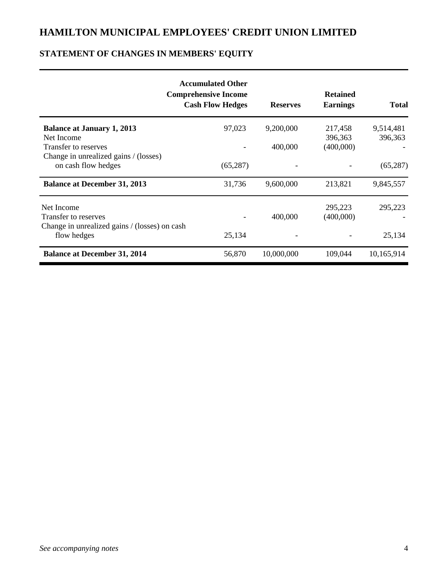# **STATEMENT OF CHANGES IN MEMBERS' EQUITY**

|                                               | <b>Accumulated Other</b><br><b>Comprehensive Income</b><br><b>Cash Flow Hedges</b> | <b>Reserves</b> | <b>Retained</b><br><b>Earnings</b> | <b>Total</b> |
|-----------------------------------------------|------------------------------------------------------------------------------------|-----------------|------------------------------------|--------------|
| <b>Balance at January 1, 2013</b>             | 97,023                                                                             | 9,200,000       | 217,458                            | 9,514,481    |
| Net Income                                    |                                                                                    |                 | 396,363                            | 396,363      |
| Transfer to reserves                          |                                                                                    | 400,000         | (400,000)                          |              |
| Change in unrealized gains / (losses)         |                                                                                    |                 |                                    |              |
| on cash flow hedges                           | (65, 287)                                                                          |                 |                                    | (65, 287)    |
| <b>Balance at December 31, 2013</b>           | 31,736                                                                             | 9,600,000       | 213,821                            | 9,845,557    |
| Net Income                                    |                                                                                    |                 | 295,223                            | 295,223      |
| Transfer to reserves                          |                                                                                    | 400,000         | (400,000)                          |              |
| Change in unrealized gains / (losses) on cash |                                                                                    |                 |                                    |              |
| flow hedges                                   | 25,134                                                                             |                 |                                    | 25,134       |
| <b>Balance at December 31, 2014</b>           | 56,870                                                                             | 10,000,000      | 109,044                            | 10,165,914   |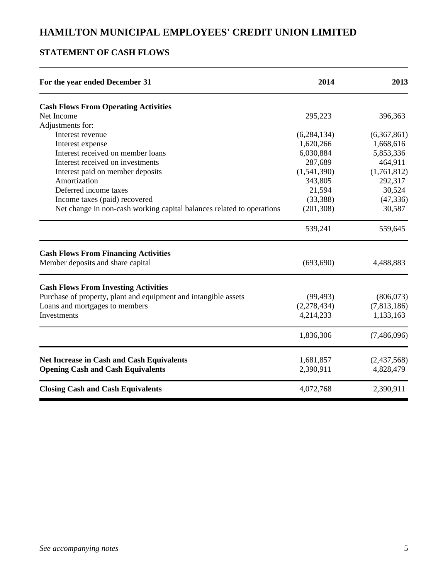# **STATEMENT OF CASH FLOWS**

| For the year ended December 31                                        | 2014          | 2013        |
|-----------------------------------------------------------------------|---------------|-------------|
| <b>Cash Flows From Operating Activities</b>                           |               |             |
| Net Income                                                            | 295,223       | 396,363     |
| Adjustments for:                                                      |               |             |
| Interest revenue                                                      | (6, 284, 134) | (6,367,861) |
| Interest expense                                                      | 1,620,266     | 1,668,616   |
| Interest received on member loans                                     | 6,030,884     | 5,853,336   |
| Interest received on investments                                      | 287,689       | 464,911     |
| Interest paid on member deposits                                      | (1,541,390)   | (1,761,812) |
| Amortization                                                          | 343,805       | 292,317     |
| Deferred income taxes                                                 | 21,594        | 30,524      |
| Income taxes (paid) recovered                                         | (33, 388)     | (47, 336)   |
| Net change in non-cash working capital balances related to operations | (201, 308)    | 30,587      |
|                                                                       | 539,241       | 559,645     |
| <b>Cash Flows From Financing Activities</b>                           |               |             |
| Member deposits and share capital                                     | (693, 690)    | 4,488,883   |
| <b>Cash Flows From Investing Activities</b>                           |               |             |
| Purchase of property, plant and equipment and intangible assets       | (99, 493)     | (806,073)   |
| Loans and mortgages to members                                        | (2,278,434)   | (7,813,186) |
| Investments                                                           | 4,214,233     | 1,133,163   |
|                                                                       | 1,836,306     | (7,486,096) |
| <b>Net Increase in Cash and Cash Equivalents</b>                      | 1,681,857     | (2,437,568) |
| <b>Opening Cash and Cash Equivalents</b>                              | 2,390,911     | 4,828,479   |
| <b>Closing Cash and Cash Equivalents</b>                              | 4,072,768     | 2,390,911   |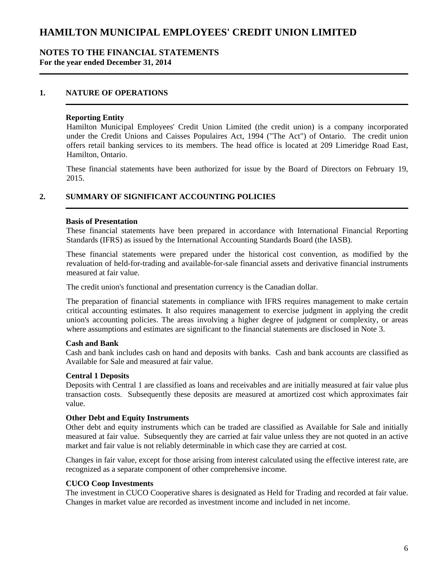## **NOTES TO THE FINANCIAL STATEMENTS For the year ended December 31, 2014**

### **1. NATURE OF OPERATIONS**

#### **Reporting Entity**

Hamilton Municipal Employees' Credit Union Limited (the credit union) is a company incorporated under the Credit Unions and Caisses Populaires Act, 1994 ("The Act") of Ontario. The credit union offers retail banking services to its members. The head office is located at 209 Limeridge Road East, Hamilton, Ontario.

These financial statements have been authorized for issue by the Board of Directors on February 19, 2015.

### **2. SUMMARY OF SIGNIFICANT ACCOUNTING POLICIES**

#### **Basis of Presentation**

These financial statements have been prepared in accordance with International Financial Reporting Standards (IFRS) as issued by the International Accounting Standards Board (the IASB).

These financial statements were prepared under the historical cost convention, as modified by the revaluation of held-for-trading and available-for-sale financial assets and derivative financial instruments measured at fair value.

The credit union's functional and presentation currency is the Canadian dollar.

The preparation of financial statements in compliance with IFRS requires management to make certain critical accounting estimates. It also requires management to exercise judgment in applying the credit union's accounting policies. The areas involving a higher degree of judgment or complexity, or areas where assumptions and estimates are significant to the financial statements are disclosed in Note 3.

### **Cash and Bank**

Cash and bank includes cash on hand and deposits with banks. Cash and bank accounts are classified as Available for Sale and measured at fair value.

### **Central 1 Deposits**

Deposits with Central 1 are classified as loans and receivables and are initially measured at fair value plus transaction costs. Subsequently these deposits are measured at amortized cost which approximates fair value.

### **Other Debt and Equity Instruments**

Other debt and equity instruments which can be traded are classified as Available for Sale and initially measured at fair value. Subsequently they are carried at fair value unless they are not quoted in an active market and fair value is not reliably determinable in which case they are carried at cost.

Changes in fair value, except for those arising from interest calculated using the effective interest rate, are recognized as a separate component of other comprehensive income.

### **CUCO Coop Investments**

The investment in CUCO Cooperative shares is designated as Held for Trading and recorded at fair value. Changes in market value are recorded as investment income and included in net income.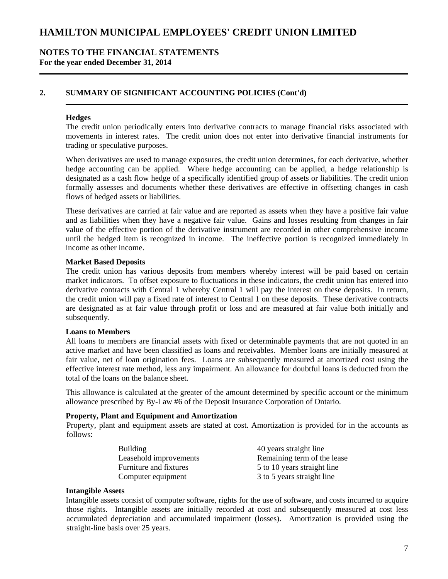## **NOTES TO THE FINANCIAL STATEMENTS For the year ended December 31, 2014**

## **2. SUMMARY OF SIGNIFICANT ACCOUNTING POLICIES (Cont'd)**

### **Hedges**

The credit union periodically enters into derivative contracts to manage financial risks associated with movements in interest rates. The credit union does not enter into derivative financial instruments for trading or speculative purposes.

When derivatives are used to manage exposures, the credit union determines, for each derivative, whether hedge accounting can be applied. Where hedge accounting can be applied, a hedge relationship is designated as a cash flow hedge of a specifically identified group of assets or liabilities. The credit union formally assesses and documents whether these derivatives are effective in offsetting changes in cash flows of hedged assets or liabilities.

These derivatives are carried at fair value and are reported as assets when they have a positive fair value and as liabilities when they have a negative fair value. Gains and losses resulting from changes in fair value of the effective portion of the derivative instrument are recorded in other comprehensive income until the hedged item is recognized in income. The ineffective portion is recognized immediately in income as other income.

#### **Market Based Deposits**

The credit union has various deposits from members whereby interest will be paid based on certain market indicators. To offset exposure to fluctuations in these indicators, the credit union has entered into derivative contracts with Central 1 whereby Central 1 will pay the interest on these deposits. In return, the credit union will pay a fixed rate of interest to Central 1 on these deposits. These derivative contracts are designated as at fair value through profit or loss and are measured at fair value both initially and subsequently.

### **Loans to Members**

All loans to members are financial assets with fixed or determinable payments that are not quoted in an active market and have been classified as loans and receivables. Member loans are initially measured at fair value, net of loan origination fees. Loans are subsequently measured at amortized cost using the effective interest rate method, less any impairment. An allowance for doubtful loans is deducted from the total of the loans on the balance sheet.

This allowance is calculated at the greater of the amount determined by specific account or the minimum allowance prescribed by By-Law #6 of the Deposit Insurance Corporation of Ontario.

### **Property, Plant and Equipment and Amortization**

Property, plant and equipment assets are stated at cost. Amortization is provided for in the accounts as follows:

| <b>Building</b>        | 40 years straight line      |
|------------------------|-----------------------------|
| Leasehold improvements | Remaining term of the lease |
| Furniture and fixtures | 5 to 10 years straight line |
| Computer equipment     | 3 to 5 years straight line  |

#### **Intangible Assets**

Intangible assets consist of computer software, rights for the use of software, and costs incurred to acquire those rights. Intangible assets are initially recorded at cost and subsequently measured at cost less accumulated depreciation and accumulated impairment (losses). Amortization is provided using the straight-line basis over 25 years.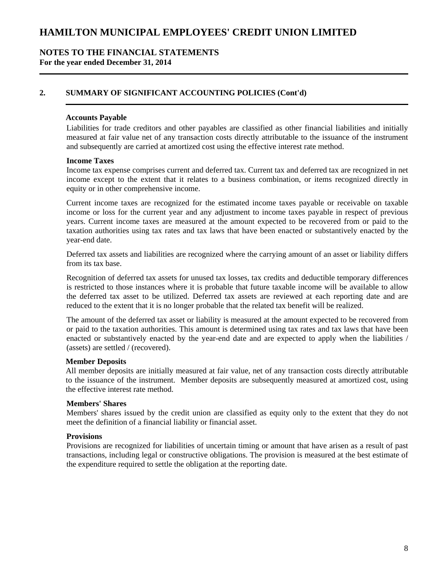## **NOTES TO THE FINANCIAL STATEMENTS For the year ended December 31, 2014**

## **2. SUMMARY OF SIGNIFICANT ACCOUNTING POLICIES (Cont'd)**

### **Accounts Payable**

Liabilities for trade creditors and other payables are classified as other financial liabilities and initially measured at fair value net of any transaction costs directly attributable to the issuance of the instrument and subsequently are carried at amortized cost using the effective interest rate method.

### **Income Taxes**

Income tax expense comprises current and deferred tax. Current tax and deferred tax are recognized in net income except to the extent that it relates to a business combination, or items recognized directly in equity or in other comprehensive income.

Current income taxes are recognized for the estimated income taxes payable or receivable on taxable income or loss for the current year and any adjustment to income taxes payable in respect of previous years. Current income taxes are measured at the amount expected to be recovered from or paid to the taxation authorities using tax rates and tax laws that have been enacted or substantively enacted by the year-end date.

Deferred tax assets and liabilities are recognized where the carrying amount of an asset or liability differs from its tax base.

Recognition of deferred tax assets for unused tax losses, tax credits and deductible temporary differences is restricted to those instances where it is probable that future taxable income will be available to allow the deferred tax asset to be utilized. Deferred tax assets are reviewed at each reporting date and are reduced to the extent that it is no longer probable that the related tax benefit will be realized.

The amount of the deferred tax asset or liability is measured at the amount expected to be recovered from or paid to the taxation authorities. This amount is determined using tax rates and tax laws that have been enacted or substantively enacted by the year-end date and are expected to apply when the liabilities / (assets) are settled / (recovered).

### **Member Deposits**

All member deposits are initially measured at fair value, net of any transaction costs directly attributable to the issuance of the instrument. Member deposits are subsequently measured at amortized cost, using the effective interest rate method.

### **Members' Shares**

Members' shares issued by the credit union are classified as equity only to the extent that they do not meet the definition of a financial liability or financial asset.

### **Provisions**

Provisions are recognized for liabilities of uncertain timing or amount that have arisen as a result of past transactions, including legal or constructive obligations. The provision is measured at the best estimate of the expenditure required to settle the obligation at the reporting date.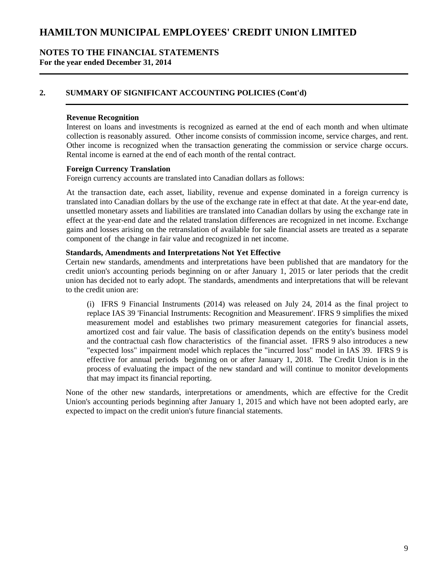## **NOTES TO THE FINANCIAL STATEMENTS For the year ended December 31, 2014**

## **2. SUMMARY OF SIGNIFICANT ACCOUNTING POLICIES (Cont'd)**

### **Revenue Recognition**

Interest on loans and investments is recognized as earned at the end of each month and when ultimate collection is reasonably assured. Other income consists of commission income, service charges, and rent. Other income is recognized when the transaction generating the commission or service charge occurs. Rental income is earned at the end of each month of the rental contract.

### **Foreign Currency Translation**

Foreign currency accounts are translated into Canadian dollars as follows:

At the transaction date, each asset, liability, revenue and expense dominated in a foreign currency is translated into Canadian dollars by the use of the exchange rate in effect at that date. At the year-end date, unsettled monetary assets and liabilities are translated into Canadian dollars by using the exchange rate in effect at the year-end date and the related translation differences are recognized in net income. Exchange gains and losses arising on the retranslation of available for sale financial assets are treated as a separate component of the change in fair value and recognized in net income.

### **Standards, Amendments and Interpretations Not Yet Effective**

Certain new standards, amendments and interpretations have been published that are mandatory for the credit union's accounting periods beginning on or after January 1, 2015 or later periods that the credit union has decided not to early adopt. The standards, amendments and interpretations that will be relevant to the credit union are:

(i) IFRS 9 Financial Instruments (2014) was released on July 24, 2014 as the final project to replace IAS 39 'Financial Instruments: Recognition and Measurement'. IFRS 9 simplifies the mixed measurement model and establishes two primary measurement categories for financial assets, amortized cost and fair value. The basis of classification depends on the entity's business model and the contractual cash flow characteristics of the financial asset. IFRS 9 also introduces a new "expected loss" impairment model which replaces the "incurred loss" model in IAS 39. IFRS 9 is effective for annual periods beginning on or after January 1, 2018. The Credit Union is in the process of evaluating the impact of the new standard and will continue to monitor developments that may impact its financial reporting.

None of the other new standards, interpretations or amendments, which are effective for the Credit Union's accounting periods beginning after January 1, 2015 and which have not been adopted early, are expected to impact on the credit union's future financial statements.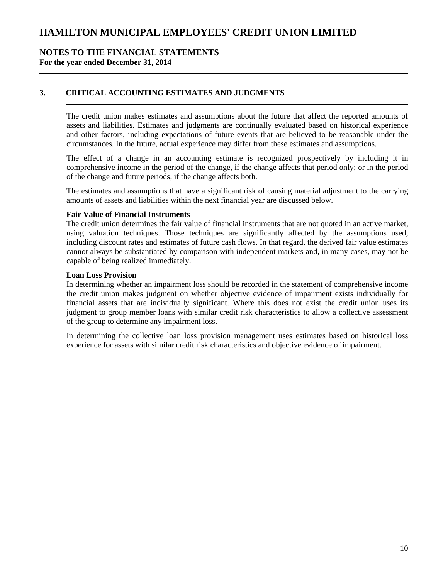## **NOTES TO THE FINANCIAL STATEMENTS For the year ended December 31, 2014**

## **3. CRITICAL ACCOUNTING ESTIMATES AND JUDGMENTS**

The credit union makes estimates and assumptions about the future that affect the reported amounts of assets and liabilities. Estimates and judgments are continually evaluated based on historical experience and other factors, including expectations of future events that are believed to be reasonable under the circumstances. In the future, actual experience may differ from these estimates and assumptions.

The effect of a change in an accounting estimate is recognized prospectively by including it in comprehensive income in the period of the change, if the change affects that period only; or in the period of the change and future periods, if the change affects both.

The estimates and assumptions that have a significant risk of causing material adjustment to the carrying amounts of assets and liabilities within the next financial year are discussed below.

### **Fair Value of Financial Instruments**

The credit union determines the fair value of financial instruments that are not quoted in an active market, using valuation techniques. Those techniques are significantly affected by the assumptions used, including discount rates and estimates of future cash flows. In that regard, the derived fair value estimates cannot always be substantiated by comparison with independent markets and, in many cases, may not be capable of being realized immediately.

### **Loan Loss Provision**

In determining whether an impairment loss should be recorded in the statement of comprehensive income the credit union makes judgment on whether objective evidence of impairment exists individually for financial assets that are individually significant. Where this does not exist the credit union uses its judgment to group member loans with similar credit risk characteristics to allow a collective assessment of the group to determine any impairment loss.

In determining the collective loan loss provision management uses estimates based on historical loss experience for assets with similar credit risk characteristics and objective evidence of impairment.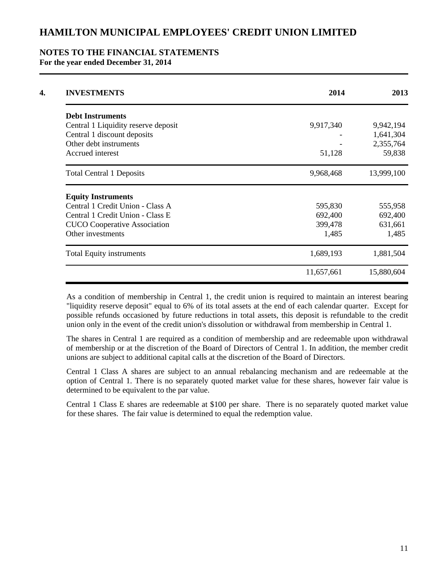## **NOTES TO THE FINANCIAL STATEMENTS For the year ended December 31, 2014**

| <b>INVESTMENTS</b>                  | 2014       | 2013       |
|-------------------------------------|------------|------------|
| <b>Debt Instruments</b>             |            |            |
| Central 1 Liquidity reserve deposit | 9,917,340  | 9,942,194  |
| Central 1 discount deposits         |            | 1,641,304  |
| Other debt instruments              |            | 2,355,764  |
| Accrued interest                    | 51,128     | 59,838     |
| <b>Total Central 1 Deposits</b>     | 9,968,468  | 13,999,100 |
| <b>Equity Instruments</b>           |            |            |
| Central 1 Credit Union - Class A    | 595,830    | 555,958    |
| Central 1 Credit Union - Class E    | 692,400    | 692,400    |
| <b>CUCO</b> Cooperative Association | 399,478    | 631,661    |
| Other investments                   | 1,485      | 1,485      |
| <b>Total Equity instruments</b>     | 1,689,193  | 1,881,504  |
|                                     | 11,657,661 | 15,880,604 |

As a condition of membership in Central 1, the credit union is required to maintain an interest bearing "liquidity reserve deposit" equal to 6% of its total assets at the end of each calendar quarter. Except for possible refunds occasioned by future reductions in total assets, this deposit is refundable to the credit union only in the event of the credit union's dissolution or withdrawal from membership in Central 1.

The shares in Central 1 are required as a condition of membership and are redeemable upon withdrawal of membership or at the discretion of the Board of Directors of Central 1. In addition, the member credit unions are subject to additional capital calls at the discretion of the Board of Directors.

Central 1 Class A shares are subject to an annual rebalancing mechanism and are redeemable at the option of Central 1. There is no separately quoted market value for these shares, however fair value is determined to be equivalent to the par value.

Central 1 Class E shares are redeemable at \$100 per share. There is no separately quoted market value for these shares. The fair value is determined to equal the redemption value.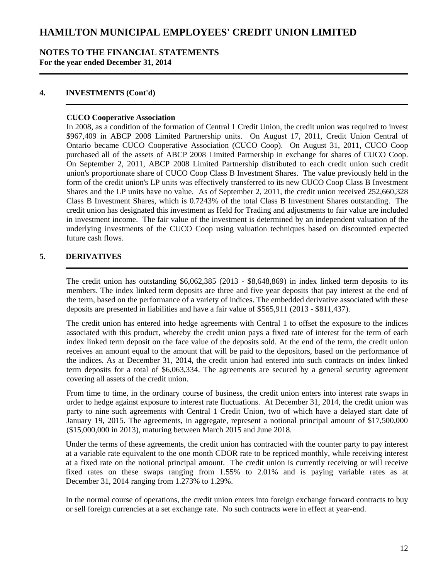## **NOTES TO THE FINANCIAL STATEMENTS For the year ended December 31, 2014**

## **4. INVESTMENTS (Cont'd)**

### **CUCO Cooperative Association**

In 2008, as a condition of the formation of Central 1 Credit Union, the credit union was required to invest \$967,409 in ABCP 2008 Limited Partnership units. On August 17, 2011, Credit Union Central of Ontario became CUCO Cooperative Association (CUCO Coop). On August 31, 2011, CUCO Coop purchased all of the assets of ABCP 2008 Limited Partnership in exchange for shares of CUCO Coop. On September 2, 2011, ABCP 2008 Limited Partnership distributed to each credit union such credit union's proportionate share of CUCO Coop Class B Investment Shares. The value previously held in the form of the credit union's LP units was effectively transferred to its new CUCO Coop Class B Investment Shares and the LP units have no value. As of September 2, 2011, the credit union received 252,660,328 Class B Investment Shares, which is 0.7243% of the total Class B Investment Shares outstanding. The credit union has designated this investment as Held for Trading and adjustments to fair value are included in investment income. The fair value of the investment is determined by an independent valuation of the underlying investments of the CUCO Coop using valuation techniques based on discounted expected future cash flows.

## **5. DERIVATIVES**

The credit union has outstanding \$6,062,385 (2013 - \$8,648,869) in index linked term deposits to its members. The index linked term deposits are three and five year deposits that pay interest at the end of the term, based on the performance of a variety of indices. The embedded derivative associated with these deposits are presented in liabilities and have a fair value of \$565,911 (2013 - \$811,437).

The credit union has entered into hedge agreements with Central 1 to offset the exposure to the indices associated with this product, whereby the credit union pays a fixed rate of interest for the term of each index linked term deposit on the face value of the deposits sold. At the end of the term, the credit union receives an amount equal to the amount that will be paid to the depositors, based on the performance of the indices. As at December 31, 2014, the credit union had entered into such contracts on index linked term deposits for a total of \$6,063,334. The agreements are secured by a general security agreement covering all assets of the credit union.

From time to time, in the ordinary course of business, the credit union enters into interest rate swaps in order to hedge against exposure to interest rate fluctuations. At December 31, 2014, the credit union was party to nine such agreements with Central 1 Credit Union, two of which have a delayed start date of January 19, 2015. The agreements, in aggregate, represent a notional principal amount of \$17,500,000 (\$15,000,000 in 2013), maturing between March 2015 and June 2018.

Under the terms of these agreements, the credit union has contracted with the counter party to pay interest at a variable rate equivalent to the one month CDOR rate to be repriced monthly, while receiving interest at a fixed rate on the notional principal amount. The credit union is currently receiving or will receive fixed rates on these swaps ranging from 1.55% to 2.01% and is paying variable rates as at December 31, 2014 ranging from 1.273% to 1.29%.

In the normal course of operations, the credit union enters into foreign exchange forward contracts to buy or sell foreign currencies at a set exchange rate. No such contracts were in effect at year-end.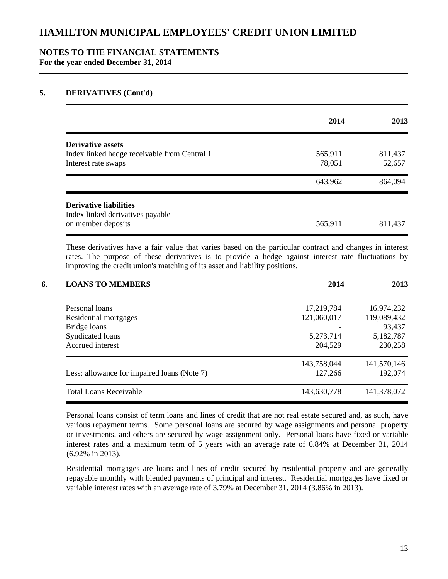### **NOTES TO THE FINANCIAL STATEMENTS For the year ended December 31, 2014**

## **5. DERIVATIVES (Cont'd)**

|                                                        | 2014    | 2013    |
|--------------------------------------------------------|---------|---------|
| <b>Derivative assets</b>                               |         |         |
| Index linked hedge receivable from Central 1           | 565,911 | 811,437 |
| Interest rate swaps                                    | 78,051  | 52,657  |
|                                                        | 643,962 | 864,094 |
| <b>Derivative liabilities</b>                          |         |         |
| Index linked derivatives payable<br>on member deposits | 565,911 | 811,437 |

These derivatives have a fair value that varies based on the particular contract and changes in interest rates. The purpose of these derivatives is to provide a hedge against interest rate fluctuations by improving the credit union's matching of its asset and liability positions.

| <b>LOANS TO MEMBERS</b>                     | 2014        | 2013        |
|---------------------------------------------|-------------|-------------|
| Personal loans                              | 17,219,784  | 16,974,232  |
| Residential mortgages                       | 121,060,017 | 119,089,432 |
| Bridge loans                                |             | 93,437      |
| Syndicated loans                            | 5,273,714   | 5,182,787   |
| Accrued interest                            | 204,529     | 230,258     |
|                                             | 143,758,044 | 141,570,146 |
| Less: allowance for impaired loans (Note 7) | 127,266     | 192,074     |
| <b>Total Loans Receivable</b>               | 143,630,778 | 141,378,072 |

Personal loans consist of term loans and lines of credit that are not real estate secured and, as such, have various repayment terms. Some personal loans are secured by wage assignments and personal property or investments, and others are secured by wage assignment only. Personal loans have fixed or variable interest rates and a maximum term of 5 years with an average rate of 6.84% at December 31, 2014 (6.92% in 2013).

Residential mortgages are loans and lines of credit secured by residential property and are generally repayable monthly with blended payments of principal and interest. Residential mortgages have fixed or variable interest rates with an average rate of 3.79% at December 31, 2014 (3.86% in 2013).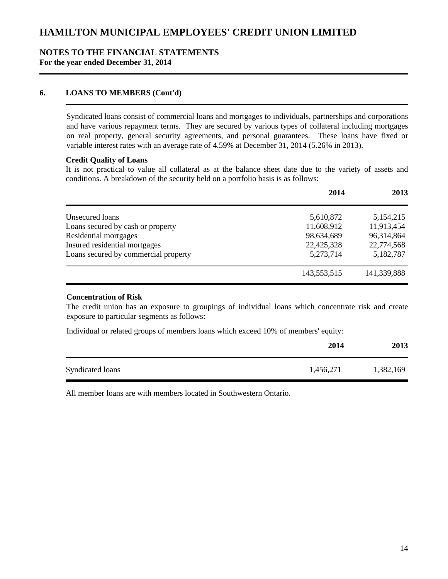## **NOTES TO THE FINANCIAL STATEMENTS For the year ended December 31, 2014**

## **6. LOANS TO MEMBERS (Cont'd)**

Syndicated loans consist of commercial loans and mortgages to individuals, partnerships and corporations and have various repayment terms. They are secured by various types of collateral including mortgages on real property, general security agreements, and personal guarantees. These loans have fixed or variable interest rates with an average rate of 4.59% at December 31, 2014 (5.26% in 2013).

### **Credit Quality of Loans**

It is not practical to value all collateral as at the balance sheet date due to the variety of assets and conditions. A breakdown of the security held on a portfolio basis is as follows:

|                                      | 2014        | 2013        |
|--------------------------------------|-------------|-------------|
| Unsecured loans                      | 5,610,872   | 5,154,215   |
| Loans secured by cash or property    | 11,608,912  | 11,913,454  |
| Residential mortgages                | 98,634,689  | 96,314,864  |
| Insured residential mortgages        | 22,425,328  | 22,774,568  |
| Loans secured by commercial property | 5,273,714   | 5,182,787   |
|                                      | 143,553,515 | 141,339,888 |

### **Concentration of Risk**

The credit union has an exposure to groupings of individual loans which concentrate risk and create exposure to particular segments as follows:

Individual or related groups of members loans which exceed 10% of members' equity:

|                  | 2014      | 2013      |
|------------------|-----------|-----------|
| Syndicated loans | 1,456,271 | 1,382,169 |

All member loans are with members located in Southwestern Ontario.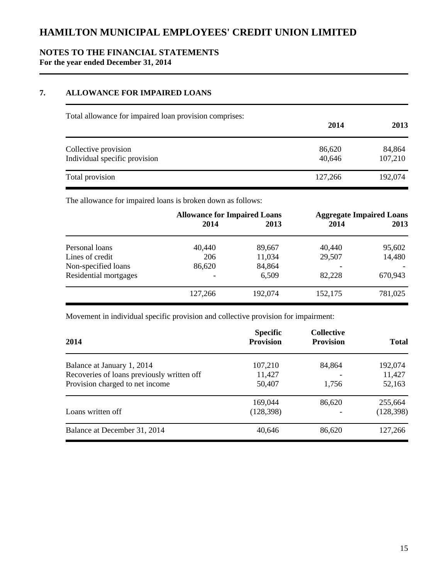## **NOTES TO THE FINANCIAL STATEMENTS For the year ended December 31, 2014**

## **7. ALLOWANCE FOR IMPAIRED LOANS**

| Total allowance for impaired loan provision comprises: | 2014             | 2013              |
|--------------------------------------------------------|------------------|-------------------|
| Collective provision<br>Individual specific provision  | 86,620<br>40,646 | 84,864<br>107,210 |
| Total provision                                        | 127,266          | 192,074           |

The allowance for impaired loans is broken down as follows:

|                       | <b>Allowance for Impaired Loans</b><br>2014<br>2013 |         | 2014    | <b>Aggregate Impaired Loans</b><br>2013 |
|-----------------------|-----------------------------------------------------|---------|---------|-----------------------------------------|
| Personal loans        | 40,440                                              | 89,667  | 40,440  | 95,602                                  |
| Lines of credit       | 206                                                 | 11,034  | 29,507  | 14,480                                  |
| Non-specified loans   | 86,620                                              | 84,864  |         |                                         |
| Residential mortgages | $\overline{\phantom{a}}$                            | 6,509   | 82,228  | 670,943                                 |
|                       | 127,266                                             | 192,074 | 152,175 | 781,025                                 |

Movement in individual specific provision and collective provision for impairment:

| 2014                                       | <b>Specific</b><br><b>Provision</b> | <b>Collective</b><br><b>Provision</b> | Total      |
|--------------------------------------------|-------------------------------------|---------------------------------------|------------|
| Balance at January 1, 2014                 | 107,210                             | 84,864                                | 192,074    |
| Recoveries of loans previously written off | 11,427                              |                                       | 11,427     |
| Provision charged to net income            | 50,407                              | 1,756                                 | 52,163     |
|                                            | 169,044                             | 86,620                                | 255,664    |
| Loans written off                          | (128, 398)                          |                                       | (128, 398) |
| Balance at December 31, 2014               | 40,646                              | 86,620                                | 127,266    |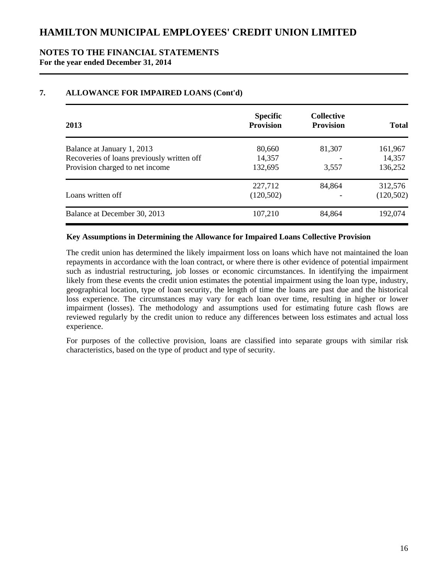## **NOTES TO THE FINANCIAL STATEMENTS For the year ended December 31, 2014**

| 2013                                       | <b>Specific</b><br><b>Provision</b> | <b>Collective</b><br><b>Provision</b> | <b>Total</b> |
|--------------------------------------------|-------------------------------------|---------------------------------------|--------------|
| Balance at January 1, 2013                 | 80,660                              | 81,307                                | 161,967      |
| Recoveries of loans previously written off | 14,357                              |                                       | 14,357       |
| Provision charged to net income            | 132,695                             | 3,557                                 | 136,252      |
|                                            | 227,712                             | 84,864                                | 312,576      |
| Loans written off                          | (120, 502)                          |                                       | (120, 502)   |
| Balance at December 30, 2013               | 107,210                             | 84,864                                | 192,074      |

## **7. ALLOWANCE FOR IMPAIRED LOANS (Cont'd)**

### **Key Assumptions in Determining the Allowance for Impaired Loans Collective Provision**

The credit union has determined the likely impairment loss on loans which have not maintained the loan repayments in accordance with the loan contract, or where there is other evidence of potential impairment such as industrial restructuring, job losses or economic circumstances. In identifying the impairment likely from these events the credit union estimates the potential impairment using the loan type, industry, geographical location, type of loan security, the length of time the loans are past due and the historical loss experience. The circumstances may vary for each loan over time, resulting in higher or lower impairment (losses). The methodology and assumptions used for estimating future cash flows are reviewed regularly by the credit union to reduce any differences between loss estimates and actual loss experience.

For purposes of the collective provision, loans are classified into separate groups with similar risk characteristics, based on the type of product and type of security.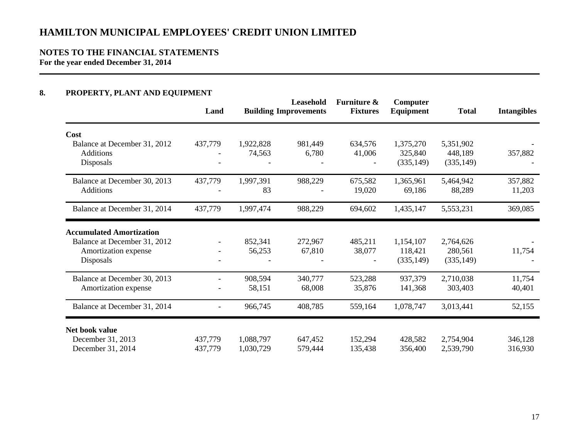## **NOTES TO THE FINANCIAL STATEMENTS**

**For the year ended December 31, 2014**

## **8. PROPERTY, PLANT AND EQUIPMENT**

|                                 | Land    |           | Leasehold<br><b>Building Improvements</b> | Furniture &<br><b>Fixtures</b> | Computer<br><b>Equipment</b> | <b>Total</b> | <b>Intangibles</b> |
|---------------------------------|---------|-----------|-------------------------------------------|--------------------------------|------------------------------|--------------|--------------------|
| Cost                            |         |           |                                           |                                |                              |              |                    |
| Balance at December 31, 2012    | 437,779 | 1,922,828 | 981,449                                   | 634,576                        | 1,375,270                    | 5,351,902    |                    |
| <b>Additions</b>                |         | 74,563    | 6,780                                     | 41,006                         | 325,840                      | 448,189      | 357,882            |
| Disposals                       |         |           |                                           |                                | (335, 149)                   | (335, 149)   |                    |
| Balance at December 30, 2013    | 437,779 | 1,997,391 | 988,229                                   | 675,582                        | 1,365,961                    | 5,464,942    | 357,882            |
| <b>Additions</b>                |         | 83        |                                           | 19,020                         | 69,186                       | 88,289       | 11,203             |
| Balance at December 31, 2014    | 437,779 | 1,997,474 | 988,229                                   | 694,602                        | 1,435,147                    | 5,553,231    | 369,085            |
| <b>Accumulated Amortization</b> |         |           |                                           |                                |                              |              |                    |
| Balance at December 31, 2012    |         | 852,341   | 272,967                                   | 485,211                        | 1,154,107                    | 2,764,626    |                    |
| Amortization expense            |         | 56,253    | 67,810                                    | 38,077                         | 118,421                      | 280,561      | 11,754             |
| Disposals                       |         |           |                                           |                                | (335, 149)                   | (335, 149)   |                    |
| Balance at December 30, 2013    |         | 908,594   | 340,777                                   | 523,288                        | 937,379                      | 2,710,038    | 11,754             |
| Amortization expense            |         | 58,151    | 68,008                                    | 35,876                         | 141,368                      | 303,403      | 40,401             |
| Balance at December 31, 2014    |         | 966,745   | 408,785                                   | 559,164                        | 1,078,747                    | 3,013,441    | 52,155             |
| Net book value                  |         |           |                                           |                                |                              |              |                    |
| December 31, 2013               | 437,779 | 1,088,797 | 647,452                                   | 152,294                        | 428,582                      | 2,754,904    | 346,128            |
| December 31, 2014               | 437,779 | 1,030,729 | 579,444                                   | 135,438                        | 356,400                      | 2,539,790    | 316,930            |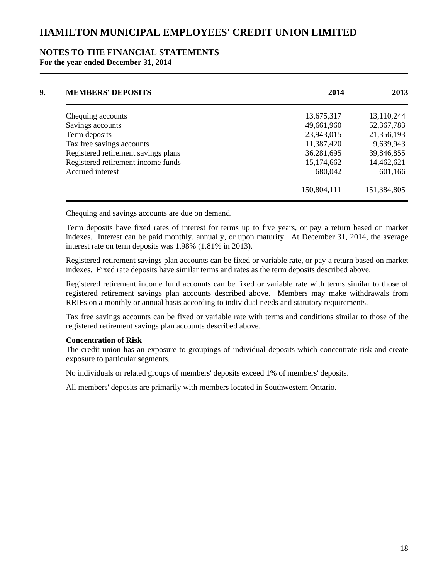### **NOTES TO THE FINANCIAL STATEMENTS For the year ended December 31, 2014**

| <b>MEMBERS' DEPOSITS</b>            | 2014        | 2013        |
|-------------------------------------|-------------|-------------|
| Chequing accounts                   | 13,675,317  | 13,110,244  |
| Savings accounts                    | 49,661,960  | 52,367,783  |
| Term deposits                       | 23,943,015  | 21,356,193  |
| Tax free savings accounts           | 11,387,420  | 9,639,943   |
| Registered retirement savings plans | 36,281,695  | 39,846,855  |
| Registered retirement income funds  | 15,174,662  | 14,462,621  |
| Accrued interest                    | 680,042     | 601,166     |
|                                     | 150,804,111 | 151,384,805 |

Chequing and savings accounts are due on demand.

Term deposits have fixed rates of interest for terms up to five years, or pay a return based on market indexes. Interest can be paid monthly, annually, or upon maturity. At December 31, 2014, the average interest rate on term deposits was 1.98% (1.81% in 2013).

Registered retirement savings plan accounts can be fixed or variable rate, or pay a return based on market indexes. Fixed rate deposits have similar terms and rates as the term deposits described above.

Registered retirement income fund accounts can be fixed or variable rate with terms similar to those of registered retirement savings plan accounts described above. Members may make withdrawals from RRIFs on a monthly or annual basis according to individual needs and statutory requirements.

Tax free savings accounts can be fixed or variable rate with terms and conditions similar to those of the registered retirement savings plan accounts described above.

### **Concentration of Risk**

The credit union has an exposure to groupings of individual deposits which concentrate risk and create exposure to particular segments.

No individuals or related groups of members' deposits exceed 1% of members' deposits.

All members' deposits are primarily with members located in Southwestern Ontario.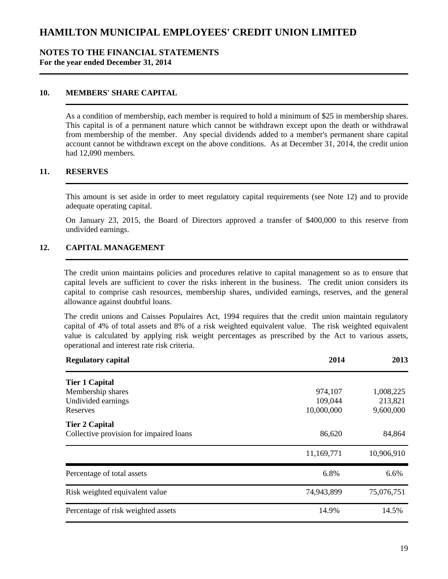## **NOTES TO THE FINANCIAL STATEMENTS For the year ended December 31, 2014**

### **10. MEMBERS' SHARE CAPITAL**

As a condition of membership, each member is required to hold a minimum of \$25 in membership shares. This capital is of a permanent nature which cannot be withdrawn except upon the death or withdrawal from membership of the member. Any special dividends added to a member's permanent share capital account cannot be withdrawn except on the above conditions. As at December 31, 2014, the credit union had 12,090 members.

### **11. RESERVES**

This amount is set aside in order to meet regulatory capital requirements (see Note 12) and to provide adequate operating capital.

On January 23, 2015, the Board of Directors approved a transfer of \$400,000 to this reserve from undivided earnings.

### **12. CAPITAL MANAGEMENT**

The credit union maintains policies and procedures relative to capital management so as to ensure that capital levels are sufficient to cover the risks inherent in the business. The credit union considers its capital to comprise cash resources, membership shares, undivided earnings, reserves, and the general allowance against doubtful loans.

The credit unions and Caisses Populaires Act, 1994 requires that the credit union maintain regulatory capital of 4% of total assets and 8% of a risk weighted equivalent value. The risk weighted equivalent value is calculated by applying risk weight percentages as prescribed by the Act to various assets, operational and interest rate risk criteria.

| <b>Regulatory capital</b>               | 2014       | 2013       |
|-----------------------------------------|------------|------------|
| <b>Tier 1 Capital</b>                   |            |            |
| Membership shares                       | 974,107    | 1,008,225  |
| Undivided earnings                      | 109,044    | 213,821    |
| Reserves                                | 10,000,000 | 9,600,000  |
| <b>Tier 2 Capital</b>                   |            |            |
| Collective provision for impaired loans | 86,620     | 84,864     |
|                                         | 11,169,771 | 10,906,910 |
| Percentage of total assets              | 6.8%       | 6.6%       |
| Risk weighted equivalent value          | 74,943,899 | 75,076,751 |
| Percentage of risk weighted assets      | 14.9%      | 14.5%      |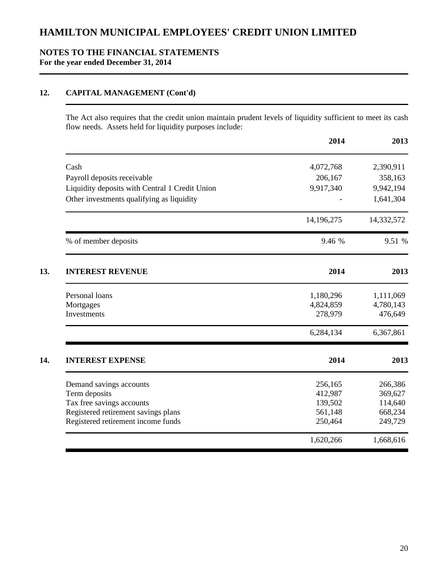## **NOTES TO THE FINANCIAL STATEMENTS For the year ended December 31, 2014**

## **12. CAPITAL MANAGEMENT (Cont'd)**

The Act also requires that the credit union maintain prudent levels of liquidity sufficient to meet its cash flow needs. Assets held for liquidity purposes include:

|                                                | 2014       | 2013       |
|------------------------------------------------|------------|------------|
| Cash                                           | 4,072,768  | 2,390,911  |
| Payroll deposits receivable                    | 206,167    | 358,163    |
| Liquidity deposits with Central 1 Credit Union | 9,917,340  | 9,942,194  |
| Other investments qualifying as liquidity      |            | 1,641,304  |
|                                                | 14,196,275 | 14,332,572 |
| % of member deposits                           | 9.46 %     | 9.51 %     |
| <b>INTEREST REVENUE</b>                        | 2014       | 2013       |
| Personal loans                                 | 1,180,296  | 1,111,069  |
| Mortgages                                      | 4,824,859  | 4,780,143  |
| Investments                                    | 278,979    | 476,649    |
|                                                | 6,284,134  | 6,367,861  |
| <b>INTEREST EXPENSE</b>                        | 2014       | 2013       |
| Demand savings accounts                        | 256,165    | 266,386    |
| Term deposits                                  | 412,987    | 369,627    |
| Tax free savings accounts                      | 139,502    | 114,640    |
| Registered retirement savings plans            | 561,148    | 668,234    |
| Registered retirement income funds             | 250,464    | 249,729    |
|                                                | 1,620,266  | 1,668,616  |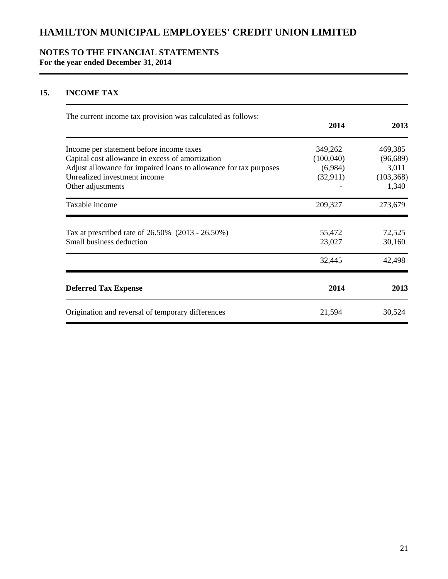## **NOTES TO THE FINANCIAL STATEMENTS For the year ended December 31, 2014**

## **15. INCOME TAX**

| The current income tax provision was calculated as follows:       |            |            |
|-------------------------------------------------------------------|------------|------------|
|                                                                   | 2014       | 2013       |
| Income per statement before income taxes                          | 349,262    | 469,385    |
| Capital cost allowance in excess of amortization                  | (100, 040) | (96, 689)  |
| Adjust allowance for impaired loans to allowance for tax purposes | (6,984)    | 3,011      |
| Unrealized investment income                                      | (32, 911)  | (103, 368) |
| Other adjustments                                                 |            | 1,340      |
| Taxable income                                                    | 209,327    | 273,679    |
| Tax at prescribed rate of 26.50% (2013 - 26.50%)                  | 55,472     | 72,525     |
| Small business deduction                                          | 23,027     | 30,160     |
|                                                                   | 32,445     | 42,498     |
| <b>Deferred Tax Expense</b>                                       | 2014       | 2013       |
| Origination and reversal of temporary differences                 | 21,594     | 30,524     |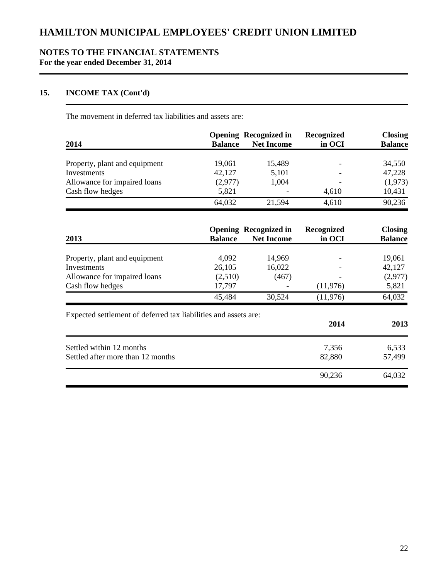## **NOTES TO THE FINANCIAL STATEMENTS For the year ended December 31, 2014**

# **15. INCOME TAX (Cont'd)**

The movement in deferred tax liabilities and assets are:

| 2014                          | <b>Balance</b> | <b>Opening Recognized in</b><br><b>Net Income</b> | Recognized<br>in OCI | <b>Closing</b><br><b>Balance</b> |
|-------------------------------|----------------|---------------------------------------------------|----------------------|----------------------------------|
| Property, plant and equipment | 19,061         | 15,489                                            |                      | 34,550                           |
| Investments                   | 42,127         | 5,101                                             |                      | 47,228                           |
| Allowance for impaired loans  | (2,977)        | 1,004                                             |                      | (1,973)                          |
| Cash flow hedges              | 5,821          | $\overline{\phantom{0}}$                          | 4,610                | 10,431                           |
|                               | 64,032         | 21,594                                            | 4,610                | 90,236                           |

| 2013                                                            | <b>Balance</b> | <b>Opening Recognized in</b><br><b>Net Income</b> | Recognized<br>in OCI | <b>Closing</b><br><b>Balance</b> |
|-----------------------------------------------------------------|----------------|---------------------------------------------------|----------------------|----------------------------------|
|                                                                 |                |                                                   |                      |                                  |
| Property, plant and equipment                                   | 4,092          | 14,969                                            |                      | 19,061                           |
| Investments                                                     | 26,105         | 16,022                                            |                      | 42,127                           |
| Allowance for impaired loans                                    | (2,510)        | (467)                                             |                      | (2,977)                          |
| Cash flow hedges                                                | 17,797         |                                                   | (11,976)             | 5,821                            |
|                                                                 | 45,484         | 30,524                                            | (11,976)             | 64,032                           |
| Expected settlement of deferred tax liabilities and assets are: |                |                                                   |                      |                                  |
|                                                                 |                |                                                   | 2014                 | 2013                             |
| Settled within 12 months                                        |                |                                                   | 7,356                | 6,533                            |
| Settled after more than 12 months                               |                |                                                   | 82,880               | 57,499                           |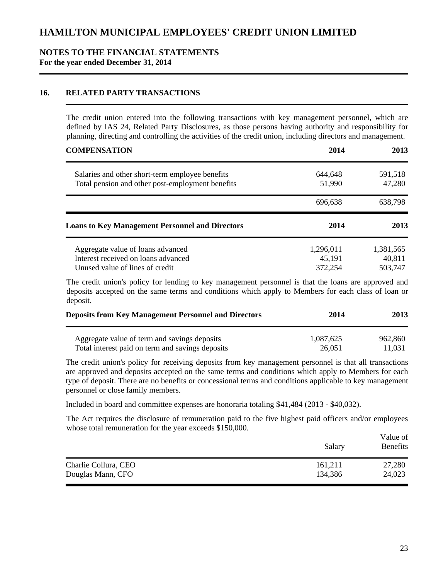### **NOTES TO THE FINANCIAL STATEMENTS For the year ended December 31, 2014**

## **16. RELATED PARTY TRANSACTIONS**

The credit union entered into the following transactions with key management personnel, which are defined by IAS 24, Related Party Disclosures, as those persons having authority and responsibility for planning, directing and controlling the activities of the credit union, including directors and management.

| <b>COMPENSATION</b>                                    | 2014      | 2013      |
|--------------------------------------------------------|-----------|-----------|
| Salaries and other short-term employee benefits        | 644.648   | 591,518   |
| Total pension and other post-employment benefits       | 51,990    | 47,280    |
|                                                        | 696,638   | 638,798   |
| <b>Loans to Key Management Personnel and Directors</b> | 2014      | 2013      |
| Aggregate value of loans advanced                      | 1,296,011 | 1,381,565 |
| Interest received on loans advanced                    | 45,191    | 40,811    |
| Unused value of lines of credit                        | 372,254   | 503,747   |

The credit union's policy for lending to key management personnel is that the loans are approved and deposits accepted on the same terms and conditions which apply to Members for each class of loan or deposit.

| <b>Deposits from Key Management Personnel and Directors</b> | 2014      | 2013    |  |
|-------------------------------------------------------------|-----------|---------|--|
| Aggregate value of term and savings deposits                | 1.087.625 | 962,860 |  |
| Total interest paid on term and savings deposits            | 26,051    | 11,031  |  |

The credit union's policy for receiving deposits from key management personnel is that all transactions are approved and deposits accepted on the same terms and conditions which apply to Members for each type of deposit. There are no benefits or concessional terms and conditions applicable to key management personnel or close family members.

Included in board and committee expenses are honoraria totaling \$41,484 (2013 - \$40,032).

The Act requires the disclosure of remuneration paid to the five highest paid officers and/or employees whose total remuneration for the year exceeds \$150,000.

|                      | Salary  | Value of<br><b>Benefits</b> |  |
|----------------------|---------|-----------------------------|--|
| Charlie Collura, CEO | 161,211 | 27,280                      |  |
| Douglas Mann, CFO    | 134,386 | 24,023                      |  |
|                      |         |                             |  |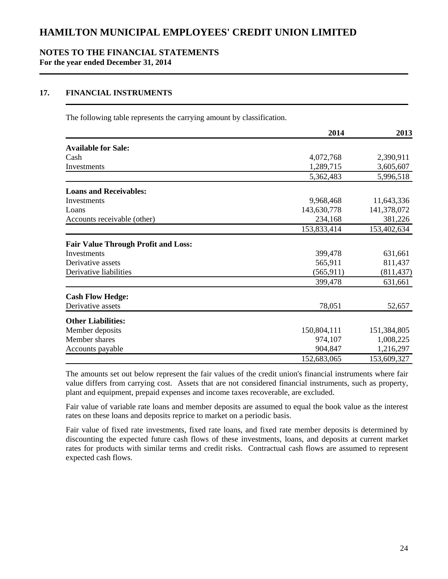### **NOTES TO THE FINANCIAL STATEMENTS For the year ended December 31, 2014**

## **17. FINANCIAL INSTRUMENTS**

The following table represents the carrying amount by classification.

|                                            | 2014        | 2013        |
|--------------------------------------------|-------------|-------------|
| <b>Available for Sale:</b>                 |             |             |
| Cash                                       | 4,072,768   | 2,390,911   |
| Investments                                | 1,289,715   | 3,605,607   |
|                                            | 5,362,483   | 5,996,518   |
| <b>Loans and Receivables:</b>              |             |             |
| Investments                                | 9,968,468   | 11,643,336  |
| Loans                                      | 143,630,778 | 141,378,072 |
| Accounts receivable (other)                | 234,168     | 381,226     |
|                                            | 153,833,414 | 153,402,634 |
| <b>Fair Value Through Profit and Loss:</b> |             |             |
| Investments                                | 399,478     | 631,661     |
| Derivative assets                          | 565,911     | 811,437     |
| Derivative liabilities                     | (565, 911)  | (811, 437)  |
|                                            | 399,478     | 631,661     |
| <b>Cash Flow Hedge:</b>                    |             |             |
| Derivative assets                          | 78,051      | 52,657      |
| <b>Other Liabilities:</b>                  |             |             |
| Member deposits                            | 150,804,111 | 151,384,805 |
| Member shares                              | 974,107     | 1,008,225   |
| Accounts payable                           | 904,847     | 1,216,297   |
|                                            | 152,683,065 | 153,609,327 |

The amounts set out below represent the fair values of the credit union's financial instruments where fair value differs from carrying cost. Assets that are not considered financial instruments, such as property, plant and equipment, prepaid expenses and income taxes recoverable, are excluded.

Fair value of variable rate loans and member deposits are assumed to equal the book value as the interest rates on these loans and deposits reprice to market on a periodic basis.

Fair value of fixed rate investments, fixed rate loans, and fixed rate member deposits is determined by discounting the expected future cash flows of these investments, loans, and deposits at current market rates for products with similar terms and credit risks. Contractual cash flows are assumed to represent expected cash flows.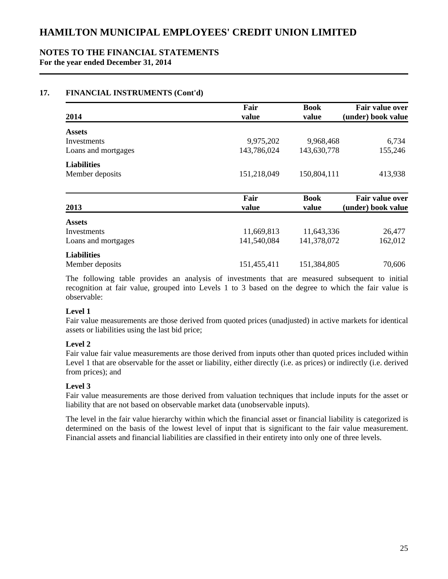## **NOTES TO THE FINANCIAL STATEMENTS For the year ended December 31, 2014**

#### **2014 Fair value Book value Fair value over (under) book value Assets** Investments 6,734 Loans and mortgages 143,786,024 143,630,778 155,246 **Liabilities** Member deposits 151,218,049 150,804,111 413,938 **2013 Fair value Book value Fair value over (under) book value Assets** Investments 26,477 Loans and mortgages 141,540,084 141,378,072 162,012 **Liabilities** Member deposits 151,455,411 151,384,805 70,606

## **17. FINANCIAL INSTRUMENTS (Cont'd)**

The following table provides an analysis of investments that are measured subsequent to initial recognition at fair value, grouped into Levels 1 to 3 based on the degree to which the fair value is observable:

## **Level 1**

Fair value measurements are those derived from quoted prices (unadjusted) in active markets for identical assets or liabilities using the last bid price;

### **Level 2**

Fair value fair value measurements are those derived from inputs other than quoted prices included within Level 1 that are observable for the asset or liability, either directly (i.e. as prices) or indirectly (i.e. derived from prices); and

### **Level 3**

Fair value measurements are those derived from valuation techniques that include inputs for the asset or liability that are not based on observable market data (unobservable inputs).

The level in the fair value hierarchy within which the financial asset or financial liability is categorized is determined on the basis of the lowest level of input that is significant to the fair value measurement. Financial assets and financial liabilities are classified in their entirety into only one of three levels.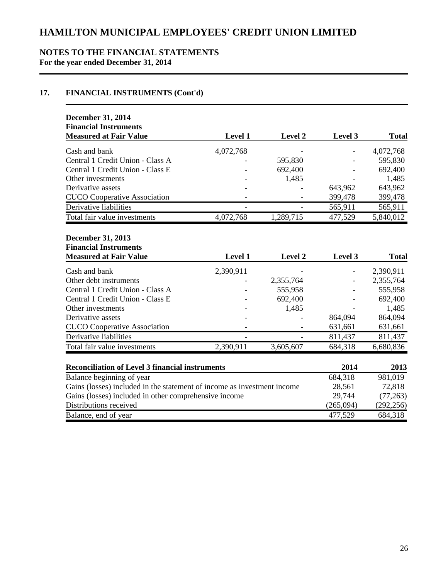## **NOTES TO THE FINANCIAL STATEMENTS For the year ended December 31, 2014**

## **17. FINANCIAL INSTRUMENTS (Cont'd)**

| <b>December 31, 2014</b><br><b>Financial Instruments</b>                |                |                          |           |              |
|-------------------------------------------------------------------------|----------------|--------------------------|-----------|--------------|
| <b>Measured at Fair Value</b>                                           | Level 1        | Level 2                  | Level 3   | <b>Total</b> |
| Cash and bank                                                           | 4,072,768      |                          |           | 4,072,768    |
| Central 1 Credit Union - Class A                                        |                | 595,830                  |           | 595,830      |
| Central 1 Credit Union - Class E                                        |                | 692,400                  |           | 692,400      |
| Other investments                                                       |                | 1,485                    |           | 1,485        |
| Derivative assets                                                       |                |                          | 643,962   | 643,962      |
| <b>CUCO</b> Cooperative Association                                     |                |                          | 399,478   | 399,478      |
| Derivative liabilities                                                  |                |                          | 565,911   | 565,911      |
| Total fair value investments                                            | 4,072,768      | 1,289,715                | 477,529   | 5,840,012    |
| <b>December 31, 2013</b>                                                |                |                          |           |              |
| <b>Financial Instruments</b>                                            |                |                          |           |              |
| <b>Measured at Fair Value</b>                                           | Level 1        | <b>Level 2</b>           | Level 3   | <b>Total</b> |
| Cash and bank                                                           | 2,390,911      |                          |           | 2,390,911    |
| Other debt instruments                                                  |                | 2,355,764                |           | 2,355,764    |
| Central 1 Credit Union - Class A                                        |                | 555,958                  |           | 555,958      |
| Central 1 Credit Union - Class E                                        |                | 692,400                  |           | 692,400      |
| Other investments                                                       |                | 1,485                    |           | 1,485        |
| Derivative assets                                                       |                |                          | 864,094   | 864,094      |
| <b>CUCO</b> Cooperative Association                                     |                |                          | 631,661   | 631,661      |
| Derivative liabilities                                                  | $\overline{a}$ | $\overline{\phantom{0}}$ | 811,437   | 811,437      |
| Total fair value investments                                            | 2,390,911      | 3,605,607                | 684,318   | 6,680,836    |
| <b>Reconciliation of Level 3 financial instruments</b>                  |                |                          | 2014      | 2013         |
| Balance beginning of year                                               | 684,318        | 981,019                  |           |              |
| Gains (losses) included in the statement of income as investment income | 28,561         | 72,818                   |           |              |
| Gains (losses) included in other comprehensive income                   | 29,744         | (77, 263)                |           |              |
| Distributions received                                                  |                |                          | (265,094) | (292, 256)   |
| Balance, end of year                                                    |                |                          | 477,529   | 684,318      |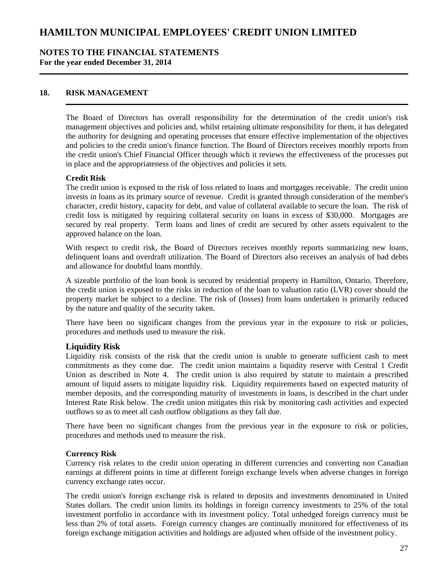## **NOTES TO THE FINANCIAL STATEMENTS For the year ended December 31, 2014**

## **18. RISK MANAGEMENT**

The Board of Directors has overall responsibility for the determination of the credit union's risk management objectives and policies and, whilst retaining ultimate responsibility for them, it has delegated the authority for designing and operating processes that ensure effective implementation of the objectives and policies to the credit union's finance function. The Board of Directors receives monthly reports from the credit union's Chief Financial Officer through which it reviews the effectiveness of the processes put in place and the appropriateness of the objectives and policies it sets.

### **Credit Risk**

The credit union is exposed to the risk of loss related to loans and mortgages receivable. The credit union invests in loans as its primary source of revenue. Credit is granted through consideration of the member's character, credit history, capacity for debt, and value of collateral available to secure the loan. The risk of credit loss is mitigated by requiring collateral security on loans in excess of \$30,000. Mortgages are secured by real property. Term loans and lines of credit are secured by other assets equivalent to the approved balance on the loan.

With respect to credit risk, the Board of Directors receives monthly reports summarizing new loans, delinquent loans and overdraft utilization. The Board of Directors also receives an analysis of bad debts and allowance for doubtful loans monthly.

A sizeable portfolio of the loan book is secured by residential property in Hamilton, Ontario. Therefore, the credit union is exposed to the risks in reduction of the loan to valuation ratio (LVR) cover should the property market be subject to a decline. The risk of (losses) from loans undertaken is primarily reduced by the nature and quality of the security taken.

There have been no significant changes from the previous year in the exposure to risk or policies, procedures and methods used to measure the risk.

### **Liquidity Risk**

Liquidity risk consists of the risk that the credit union is unable to generate sufficient cash to meet commitments as they come due. The credit union maintains a liquidity reserve with Central 1 Credit Union as described in Note 4. The credit union is also required by statute to maintain a prescribed amount of liquid assets to mitigate liquidity risk. Liquidity requirements based on expected maturity of member deposits, and the corresponding maturity of investments in loans, is described in the chart under Interest Rate Risk below. The credit union mitigates this risk by monitoring cash activities and expected outflows so as to meet all cash outflow obligations as they fall due.

There have been no significant changes from the previous year in the exposure to risk or policies, procedures and methods used to measure the risk.

### **Currency Risk**

Currency risk relates to the credit union operating in different currencies and converting non Canadian earnings at different points in time at different foreign exchange levels when adverse changes in foreign currency exchange rates occur.

The credit union's foreign exchange risk is related to deposits and investments denominated in United States dollars. The credit union limits its holdings in foreign currency investments to 25% of the total investment portfolio in accordance with its investment policy. Total unhedged foreign currency must be less than 2% of total assets. Foreign currency changes are continually monitored for effectiveness of its foreign exchange mitigation activities and holdings are adjusted when offside of the investment policy.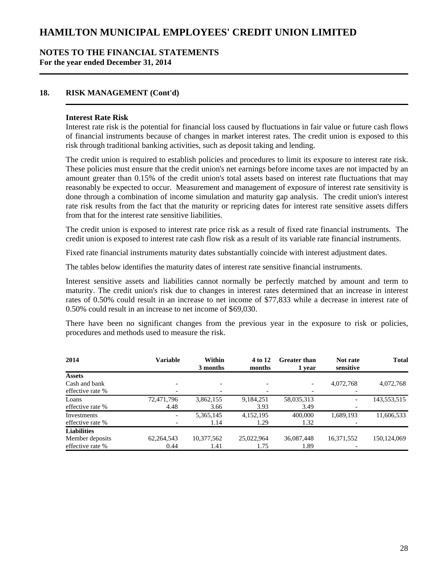## **NOTES TO THE FINANCIAL STATEMENTS For the year ended December 31, 2014**

## **18. RISK MANAGEMENT (Cont'd)**

#### **Interest Rate Risk**

Interest rate risk is the potential for financial loss caused by fluctuations in fair value or future cash flows of financial instruments because of changes in market interest rates. The credit union is exposed to this risk through traditional banking activities, such as deposit taking and lending.

The credit union is required to establish policies and procedures to limit its exposure to interest rate risk. These policies must ensure that the credit union's net earnings before income taxes are not impacted by an amount greater than 0.15% of the credit union's total assets based on interest rate fluctuations that may reasonably be expected to occur. Measurement and management of exposure of interest rate sensitivity is done through a combination of income simulation and maturity gap analysis. The credit union's interest rate risk results from the fact that the maturity or repricing dates for interest rate sensitive assets differs from that for the interest rate sensitive liabilities.

The credit union is exposed to interest rate price risk as a result of fixed rate financial instruments. The credit union is exposed to interest rate cash flow risk as a result of its variable rate financial instruments.

Fixed rate financial instruments maturity dates substantially coincide with interest adjustment dates.

The tables below identifies the maturity dates of interest rate sensitive financial instruments.

Interest sensitive assets and liabilities cannot normally be perfectly matched by amount and term to maturity. The credit union's risk due to changes in interest rates determined that an increase in interest rates of 0.50% could result in an increase to net income of \$77,833 while a decrease in interest rate of 0.50% could result in an increase to net income of \$69,030.

There have been no significant changes from the previous year in the exposure to risk or policies, procedures and methods used to measure the risk.

| 2014               | Variable                 | Within<br>3 months | 4 to 12<br>months | <b>Greater than</b><br>1 year | Not rate<br>sensitive    | <b>Total</b>  |
|--------------------|--------------------------|--------------------|-------------------|-------------------------------|--------------------------|---------------|
| <b>Assets</b>      |                          |                    |                   |                               |                          |               |
| Cash and bank      |                          |                    |                   | $\overline{\phantom{0}}$      | 4,072,768                | 4,072,768     |
| effective rate %   |                          |                    |                   |                               |                          |               |
| Loans              | 72,471,796               | 3,862,155          | 9,184,251         | 58,035,313                    | $\overline{\phantom{0}}$ | 143,553,515   |
| effective rate %   | 4.48                     | 3.66               | 3.93              | 3.49                          | $\overline{\phantom{0}}$ |               |
| Investments        | $\overline{\phantom{a}}$ | 5,365,145          | 4,152,195         | 400,000                       | 1,689,193                | 11,606,533    |
| effective rate %   |                          | 1.14               | 1.29              | 1.32                          |                          |               |
| <b>Liabilities</b> |                          |                    |                   |                               |                          |               |
| Member deposits    | 62,264,543               | 10,377,562         | 25,022,964        | 36,087,448                    | 16,371,552               | 150, 124, 069 |
| effective rate %   | 0.44                     | 1.41               | 1.75              | 1.89                          |                          |               |